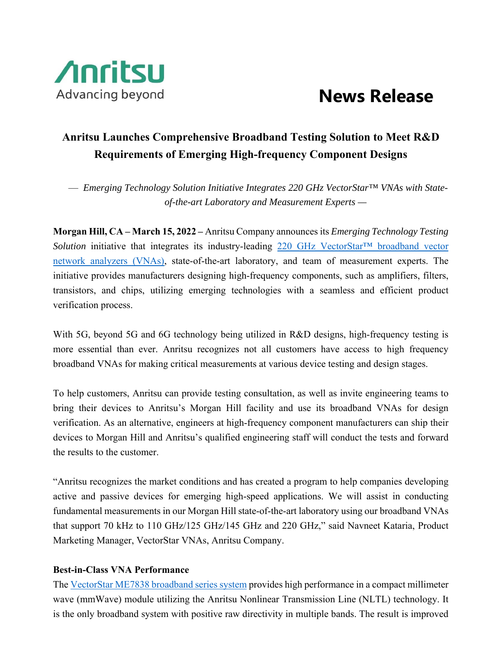

## **Anritsu Launches Comprehensive Broadband Testing Solution to Meet R&D Requirements of Emerging High-frequency Component Designs**

— *Emerging Technology Solution Initiative Integrates 220 GHz VectorStar™ VNAs with Stateof-the-art Laboratory and Measurement Experts —* 

**Morgan Hill, CA – March 15, 2022 –** Anritsu Company announces its *Emerging Technology Testing Solution* initiative that integrates its industry-leading 220 GHz VectorStar™ broadband vector network analyzers (VNAs), state-of-the-art laboratory, and team of measurement experts. The initiative provides manufacturers designing high-frequency components, such as amplifiers, filters, transistors, and chips, utilizing emerging technologies with a seamless and efficient product verification process.

With 5G, beyond 5G and 6G technology being utilized in R&D designs, high-frequency testing is more essential than ever. Anritsu recognizes not all customers have access to high frequency broadband VNAs for making critical measurements at various device testing and design stages.

To help customers, Anritsu can provide testing consultation, as well as invite engineering teams to bring their devices to Anritsu's Morgan Hill facility and use its broadband VNAs for design verification. As an alternative, engineers at high-frequency component manufacturers can ship their devices to Morgan Hill and Anritsu's qualified engineering staff will conduct the tests and forward the results to the customer.

"Anritsu recognizes the market conditions and has created a program to help companies developing active and passive devices for emerging high-speed applications. We will assist in conducting fundamental measurements in our Morgan Hill state-of-the-art laboratory using our broadband VNAs that support 70 kHz to 110 GHz/125 GHz/145 GHz and 220 GHz," said Navneet Kataria, Product Marketing Manager, VectorStar VNAs, Anritsu Company.

## **Best-in-Class VNA Performance**

The VectorStar ME7838 broadband series system provides high performance in a compact millimeter wave (mmWave) module utilizing the Anritsu Nonlinear Transmission Line (NLTL) technology. It is the only broadband system with positive raw directivity in multiple bands. The result is improved